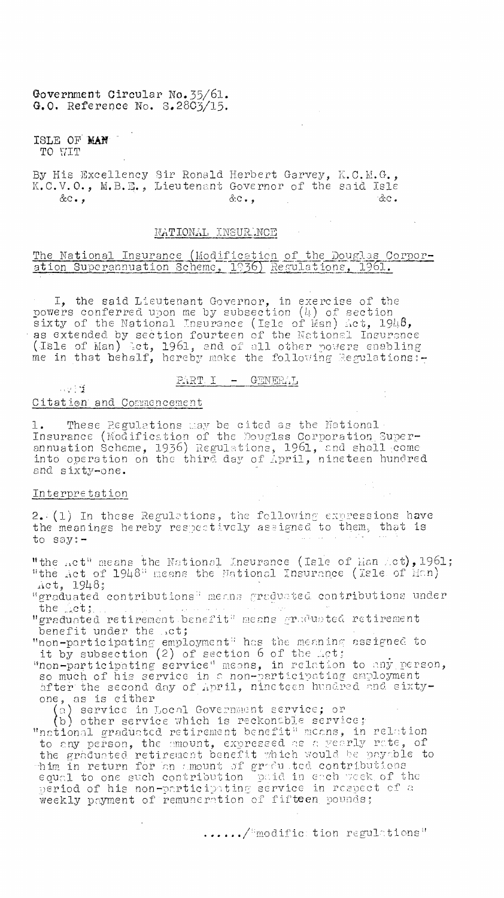Government Circular No. 35/61. G.O. Reference No. S.2803/15.

ISLE OF MAN TO WIT

By His Excellency Sir Ronald Herbert Garvey, K.C.M.G., K.C.V.O., M.B.E., Lieutenant Governor of the said Isle  $&c \cdot$  ,  $&c \cdot$  ,  $\partial c$  .

## NATIONAL INSURANCE

### The National Insurance (Modification of the Douglas Corporation Superannuation Scheme, 1936) Regulations, 1961.

I, the said Lieutenant Governor, in exercise of the To the said Lieutenant Governor, in exercise of the<br>powers conferred upon me by subsection (4) of section<br>sixty of the National Insurance (Isle of Man) Act, 1948,<br>as extended by section fourteen of the National Insurance<br>(

#### $PART$   $I$  - GENERAL

#### Citation and Commencement

1. These Regulations may be cited as the National<br>Insurance (Modification of the Douglas Corporation Superannuation Scheme, 1936) Regulations, 1961, and shall come into operation on the third day of April, nineteen hundred and sixty-one.

#### Interpretation

 $\sim 200$  M

2. (1) In these Regulations, the following expressions have the meanings hereby respectively assigned to them, that is to say:-

"the not" means the National Insurance (Isle of Han Act), 1961; "the Act of 1948" means the National Insurance (Isle of Man)  $\text{act}, 1948;$ 

"graduated contributions" means graduated contributions under the ct:

"graduated retirement benefit" means graduated retirement benefit under the .ct;

"non-participating employment" has the meaning assigned to<br>it by subsection (2) of section 6 of the Let;<br>"non-participating service" means, in relation to any person,<br>so much of his service in a non-participating employmen one, as is either<br>(a) service in Local Government service; or

(b) other service which is reckonable service; "national graduated retirement benefit" means, in relation to any person, the emount, expressed as a yearly rate, of<br>the graduated retirement benefit which would be payable to<br>thim in return for an amount of graduated contributions<br>equal to one such contribution paid in each week weekly payment of remuneration of fifteen pounds;

....../ modific tion regulations"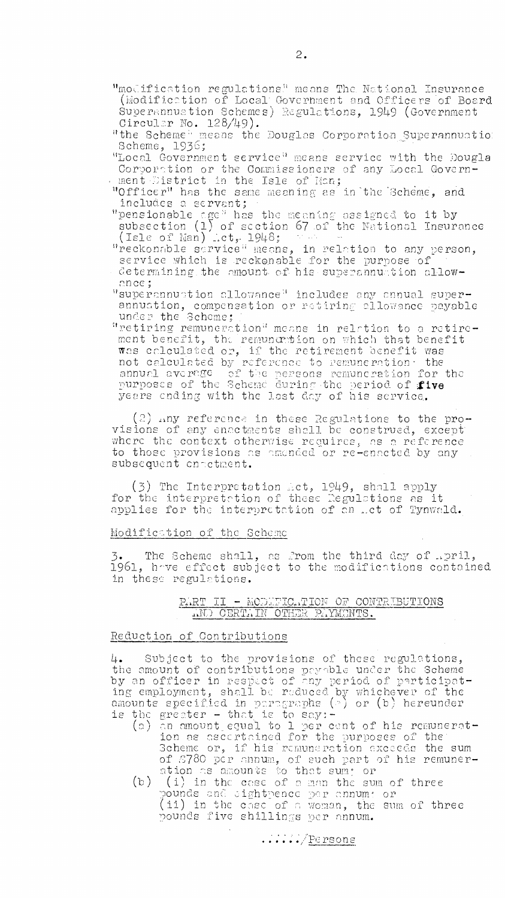- "modification regulations" means The National Insurance (Modification of Local Government and Officers of Board Superannuation Schemes) Regulations, 1949 (Government Circular No.  $128/49$ ).
- "the Scheme" means the Douglas Corporation Superannuation Scheme, 1936;
- "Local Government service' means service with the Dougla Corporation or the Commissioners of any Local Government District in the Isle of Man;
- "Officer" has the same meaning as in the Scheme, and includes 2 servant;
- "pensionable age" has the meaning assigned to it by subsection (1) of section 67 of the National Insurance (Isle of Man) fict,  $1948;$  and  $\cdots$
- "reckonable service" means, in relation to any person, service which is reckon able for the purpose of determining the amount of his superannuation allowonce;
- "superannuation allowance" includes any annual superannuation, compensation or retiring allowance payable under the Scheme;
- "retiring remuneration" means in relation to a retirement benefit, the remuncrition on which that benefit was calculated or, if the retirement benefit was not calculated by reference to remuneration- the annual average of the persons remuneration for the purposes of the Scheme during the period of five years ending with the last day of his service.

(2) .,,ny reference in these Regulations to the provisions of any enactments shall be construed, except' where the context otherwise requires, as a reference to those provisions as amended or re-enacted by any subsequent enactment.

(3) The Interpretation bet, 1949, shall apply for the interpretation of these Regulations as it applies for the interpretation of an ect of Tynwald.

#### Modification of the Scheme

3. The Scheme shall, as from the third day of 1961, have effect subject to the modifications contained in these regulations.

## PART II - MODIFICATION OF CONTRIBUTIONS  $_{\rm MND}$  CERT. IN OTHER PAYMENTS.

#### Reduction of Contributions

Subject to the provisions of these regulations, 4. the amount of contributions peyeble under the Scheme by an officer in respect of any period of participating employment, shall be reduced by whichever of the amounts specified in paragraphs (e) or (b) hereunder  $\,$ is the greater  $-$  that is to say: $-$ 

- (a) an amount equal to 1 per cent of his remuneration as ascertained for the purposes of the Scheme or, if his remuneration exceeds the sum of 8780 per annum, of such part of his remuneration as amounts to that sum; or
- $(b)$  (i) in the case of a man the sum of three pounds and sightpence per annum: or (ii) in the case of a woman, the sum of three pounds five shillings per annum.

 $\ldots$ .../Persons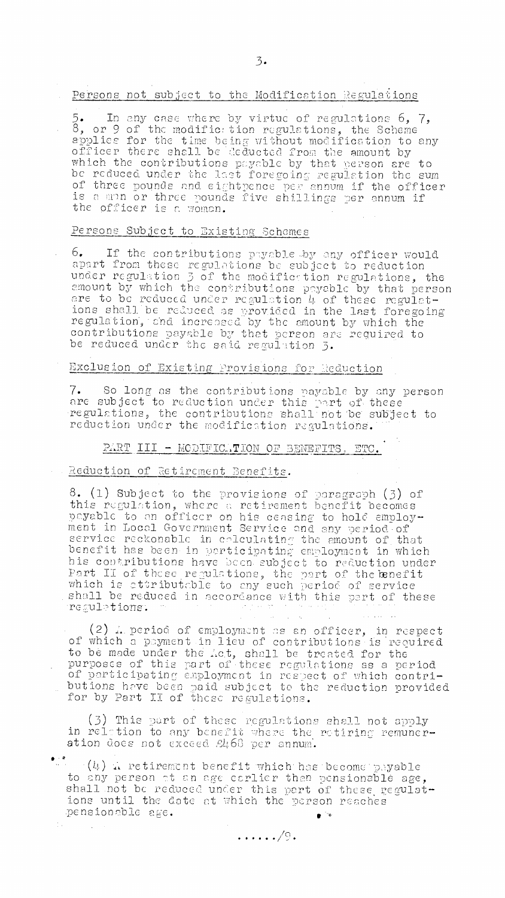Persons not subject to the Modification Regulations

 $5.$  In any case where by virtue of regulations  $6, 7,$  $8$ , or 9 of the modifiction regulations, the Scheme applies for the time being without modification to any officer there shall be deducted from the amount by which the contributions payable by that person are to be reduced under the last foregoing regulation the sumof three pounds and eightpence per annum if the officer is a min or three pounds five shillings per annum if the officer is a. women.

# Persons Subject to Existing Schemes

.6. If the contributions pynble.by any officer would apart from these regulations be subject to reduction under regulation 3 of the modifiction regulations, the amount by which the contributions payable by that person are to be reduced under regulation  $\mu$  of these regulations shall be reduced as provided in the last foregoing regulation, and increased by the amount by which the contributions payable by that person are required to be reduced under the said regulation 3.

# Exclusion of Existing Provisions for Reduction

7. So long as the contributions payable by any person are subject to reduction under this part of these regulations, the contributions shell. nbt be subject to reduction under the modification regulations.

## PART III - MODIFICATION OF BENEFITS, ETC.

#### Reduction of Retirement Benefits.

8. (1) Subject to the provisions of paragraph (3) of this regulation, where a retirement benefit becomes payable to an officer on his ceasing to hold employment in Local Government Service and any period of service reckonable in calculating the amount of that benefit has been in participating employment in which his contributions hove been subject to reduction under Part II of these regulations, the part of the benefit which is attributable to any such period of serviceshall be reduced in accordance with this part of these regulations.

 $(2)$  A period of employment as an officer, in respect of which a payment in lieu of contributions is required to be made under the :.ct, shall be treated. for the purposes of thie port of these regulations as a period of participating employment in respect of which contributions have been paid subject to the reduction provided for by Part II of these regulations.

 $(3)$  This part of these regulations shall not apply in relation to any benefit where the retiring remuneration does not exceed  $2466$  per annum.

 $\cdot$  (4)  $\Lambda$  retirement benefit which has become payable to any person at en see earlier than pensionable age, shall not be reduced under this part of these regulations until the date at which the person reaches pensionable se.  $\bullet$   $\mathbb{R}$ 

 $\ldots \ldots \sqrt{9}$  .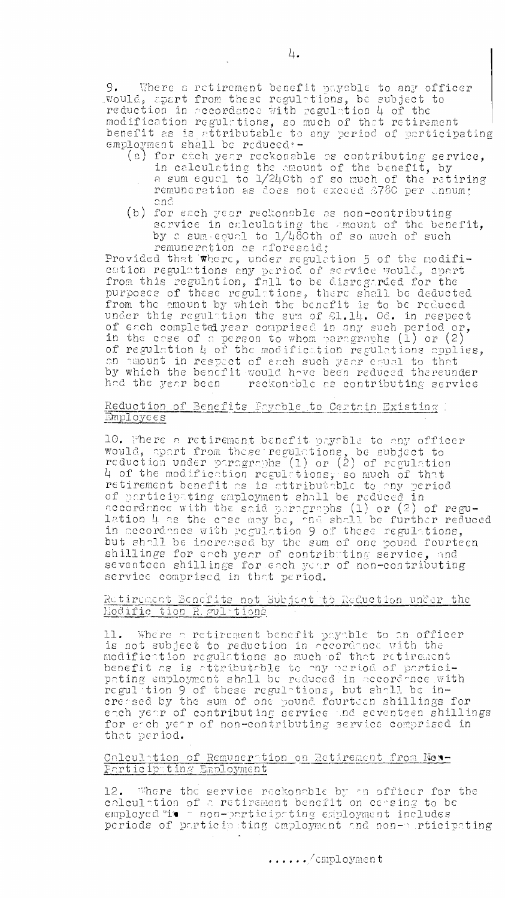9. Where a retirement benefit payable to any officer would, apart from these regulation, be subject to reduction in accordance with regulation 4 of the modification regulations, so much of that retirement benefit as is attributable to any period of participating employment shall be reduced :-

- (a) for each year reckonable as contributing service, in calculating the amount of the benefit, by a sum ecuol to 1/24Cth of so much of the retiring remuneration as does not exceed  $\beta780$  per unnum; and
- (b) for each year reckonable as non-contributing service in calculating the amount of the benefit. by a sum-counl to 1/480th of so much of such remuneration as aforesaid;

Provided that  $\bar{w}$ here, under regulation 5 of the modification regulations any period of service would, apart from this regulation, fall to be disregarded for the purposes of these regulations, there shall be deducted from the amount by which the benefit is to be reduced under this regulation the sum of  $\mathop{\triangleleft} 1.14$ . Od. in respect of each completed year comprised in any such period or, in the case of a person to whom paragraphs  $(1)$  or  $(2)$ of regulation 4 of the modification regulations applies, an amount in respect of each such year equal to that by which the benefit would have been reduced thereunder  $\,$ had the year been  $\qquad$  reckondble as contributing service  $\qquad$ 

## Reduction of Benefits Fayable to Certain Existing Employees

10. There a retirement benefit payable to any officer would, apart from these regulations, be subject to reduction under paragraphs (1) or (2) of regulation  $4$  of the modification regulations, so much of that retirement benefit as is attributable to any period of participating employment shall be reduced in accordance with the said paragraphs  $(1)$  or  $(2)$  of regulation  $4$  as the case may be, and shall be further reduced in accordance with regulation 9 of these regulations, but shall be increased by the sum of one pound fourteen shillings for each year of contributing service, and seventeen shillings for each year of non-contributing service comprised in that period.

### Retirement Benefits not Subject to Reduction under the <u>Eodific tion</u>

 $11.$  Where a retirement benefit payable to an officer  $\blacksquare$ is not subject to reduction in accordance with the modificttion regulations so much of that retirement benefit as is attributable to my period of participating employment shall be reduced in accord-nce with regul-tion 9 of these regul-tions, but shall be increased by the sum of one pound fourteen shillings for  $\blacksquare$ each year of contributing service .nd seventeen shillings for erch yetr of non-contributing service comprised in that period.

#### Calculttion of Remunerttion on 2ctirement from Non-Participating Employment

12. 'There the service reckonable by tn officer for the calculation of a retirement benefit on ce-sing to be  $\,$ employed "it - non-participating employment includes periods of participsting employment and non-serticipating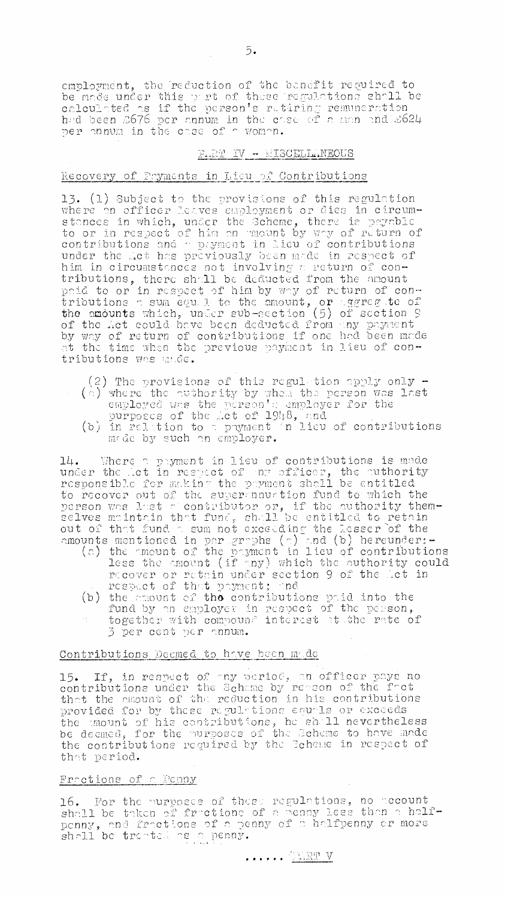employment, the reduction of the benefit required to be made under this part of these regulations shall be calculated as if the person's returning remuneration had been 3676 per annum in the case of a man and 2624 per annum in the case of a man and 2624

## F.RT IV - MISCELL.NEOUS

#### Recovery of Payments in Lieu of Contributions

13. (1) Subject to the provisions of this regulation The capacity of the provisions of this regard for the resonance in which, under the Scheme, there is payable to or in respect of him on mount by way of return of contributions and a payment in lieu of contributions under t him in circumstances not involving a return of contributions, there shall be deducted from the amount paid to or in respect of him by way of return of contributions a sum equil to the amount, or aggregate of the amounts which, under sub-section (5) of section 9 of the Act could have been deducted from any payment<br>by way of return of contributions if one had been made<br>at the time when the previous payment in lieu of contributions was unde.

(2) The provisions of this regulation apply only - $(\circ)$  where the authority by whom the person was last

- employed was the person's employer for the
- purposes of the let of 1948, and<br>(b) in relation to a payment in lieu of contributions made by such an employer.

14. Where a payment in lieu of contributions is made under the let in respect of any officer, the authority responsible for making the payment shall be entitled to recover out of the supermnumition fund to which the person was last a contributor or, if the authority themout of that fund a sum not exceeding the lesser of the

- control of the same state with the control of the control of the payment in lieu of contributions<br>(a) the amount of the payment in lieu of contributions<br>less the amount (if any) which the authority could recover or retain under section 9 of the Let in respect of that payment; and
	- (b) the amount of the contributions paid into the fund by an employer in respect of the person, together with compound interest at the rate of 3 per cent per annum.

# Contributions Deemed to have been made

15. If, in respect of my period, an officer pays no contributions under the Schame by repson of the fret that the amount of the reduction in his contributions provided for by these regulations equals or exceeds the mount of his contributions, he shall nevertheless be deemed, for the purposes of the Scheme to have made the contributions required by the Scheme in respect of that period.

#### Frections of a Penny

16. For the nurposes of these regulations, no account shall be taken of fractions of a penny less than a half-16. penny, and fractions of a penny of a halfpenny or more shall be treated as a penny.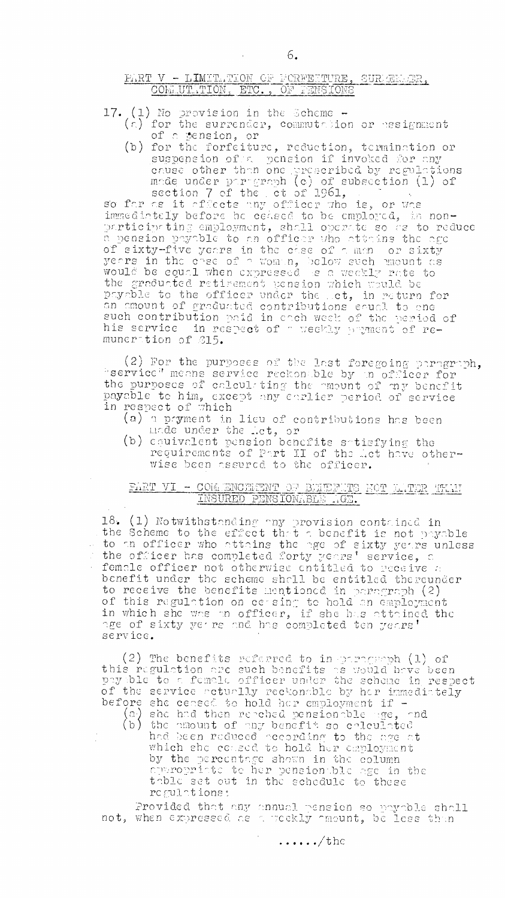# PART V - LIMITATION OF FORFETURE, SUREENER, COMMUTATION, ETC., OF FENSIONS

- 17. (1) No provision in the Scheme  $(\epsilon)$  for the surrender, commutation or nesignment of a pension, or
- (b) for the forfeiture, reduction, termination or suspension of a pension if invoked for any suppose other than one preseribed by regulations<br>made under paragraph (c) of subsection (1) of<br>section 7 of the et of 1961,<br>so far as it officets any officer who is, or was<br>immediately before be ceased to be employed, in n

immediately before ac ceased to be employed, as non-<br>participating employment, shall operate so as to reduce<br>a pension payable to an officer who attains the age<br>of sixty-five years in the case of a man or sixty<br>years in th the graduated retirement pension which would be physical religions bension which which be<br>physical to the officer under the set, in return for<br>an emount of graduated contributions equal to ene<br>such contribution paid in each week of the period of<br>his service in respect o

(2) For the purposes of the last foregoing paragraph, "service" means service reckonable by an officer for the purposes of calculating the mount of my benefit<br>payable to him, except any carlier period of service<br>in respect of which

- (a) a payment in lieu of contributions has been (b) coulvalent pension benefits satisfying the
- requirements of Part II of the Let have otherwise been assured to the officer.

# PART VI - COM ENCEMBRY OF BEIEFUTS HOT LATER TEAM INSURED PENSIONABLE AGE.

18. (1) Notwithstanding any provision contained in<br>the Scheme to the effect that a benefit is not payable<br>to an officer who attains the age of sixty years unless<br>the officer has completed forty years' service, a female officer not otherwise entitled to receive a benefit under the scheme shall be entitled thereunder to receive the benefits mentioned in paragraph (2)<br>of this regulation on cersing to hold an employment<br>in which she was an officer, if she has attained the age of sixty yer re and has completed ten years' service.

(2) The benefits referred to in paragroph (1) of<br>this regulation are such benefits as would have been<br>payable to a female officer under the scheme in respect of the service actually reckonable by her inmediately before she censed to hold her employment if -

(a) she had then repeated pensionalle age, and<br>(b) the amount of any benefit so calculated<br>had been reduced according to the age at which she consed to hold her employment by the percentage shown in the column ay the means her pension ble age in the table set out in the schedule to these regulations:

Provided that any annual pension so payable shall not, when expressed as a weekly amount, be less than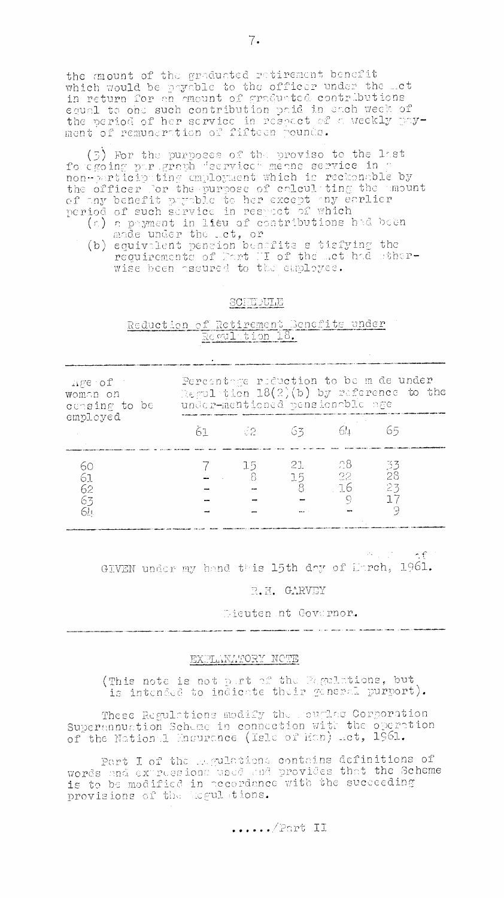the mount of the graduated retirement benefit which would be payable to the officer under the met in return for an emeunt of graduated contributions equal to one such contribution paid in each week of the period of her service in respect of a weekly payment of remuneration of fifteen pounds.

(5) For the purposes of the provise to the last forcgoing par graph "service" means service in p non-participating employment which is reckonable by<br>the officer for the purpose of calculiting the amount of any benefit parable to her except any earlier

- (a) a payment in lieu of contributions had been
- (b) a payment in free of contributions are seen<br>made under the Let, or<br>(b) equivalent pension benefits s tisfying the<br>requirements of Mart H of the Let had sther-<br>wise been assured to the employee.

#### SCHEDULE

# Reduction of Retirement Senefits under

.<br>The management of the sense and between particular to the best service and management of the condition of the

| $\Delta \rho \in \mathrm{C}^2(\mathbb{C})$<br>woman on<br>censing to be<br>employed | Percentage reduction to be m de under<br>Regulation $18(2)(b)$ by reference to the<br>under-mentioned pensionable age |                 |               |                          |                 |  |
|-------------------------------------------------------------------------------------|-----------------------------------------------------------------------------------------------------------------------|-----------------|---------------|--------------------------|-----------------|--|
|                                                                                     |                                                                                                                       | 61 62 63        |               |                          |                 |  |
| 60<br>61<br>62<br>63                                                                |                                                                                                                       | - 15 - 1<br>- 8 | 21<br>15<br>8 | - 28 -<br>22<br>16<br>C) | -33<br>28<br>23 |  |

计可定 人名利

GIVEN under my hand this 15th day of Harch, 1961.

#### R.H. GARVEY

Lieuten nt Governor.

.<br>Saami constant - a class and policy in the mail - discussional model (1980-1980). L.P

#### EXPLANATORY NOTE

(This note is not part of the Pagulations, but is intended to indicate their general purport).

These Regulations modify the couples Corporation Supermnuation Scheme in connection with the operation of the Nation 1 Mnsurence (Isle of Man) act, 1961.

Part I of the Applations contains definitions of<br>words and expressions used and provides that the Scheme<br>is to be modified in accordance with the succeeding<br>provisions of the legulations.

 $\ldots$ ,  $\ell$  Part II